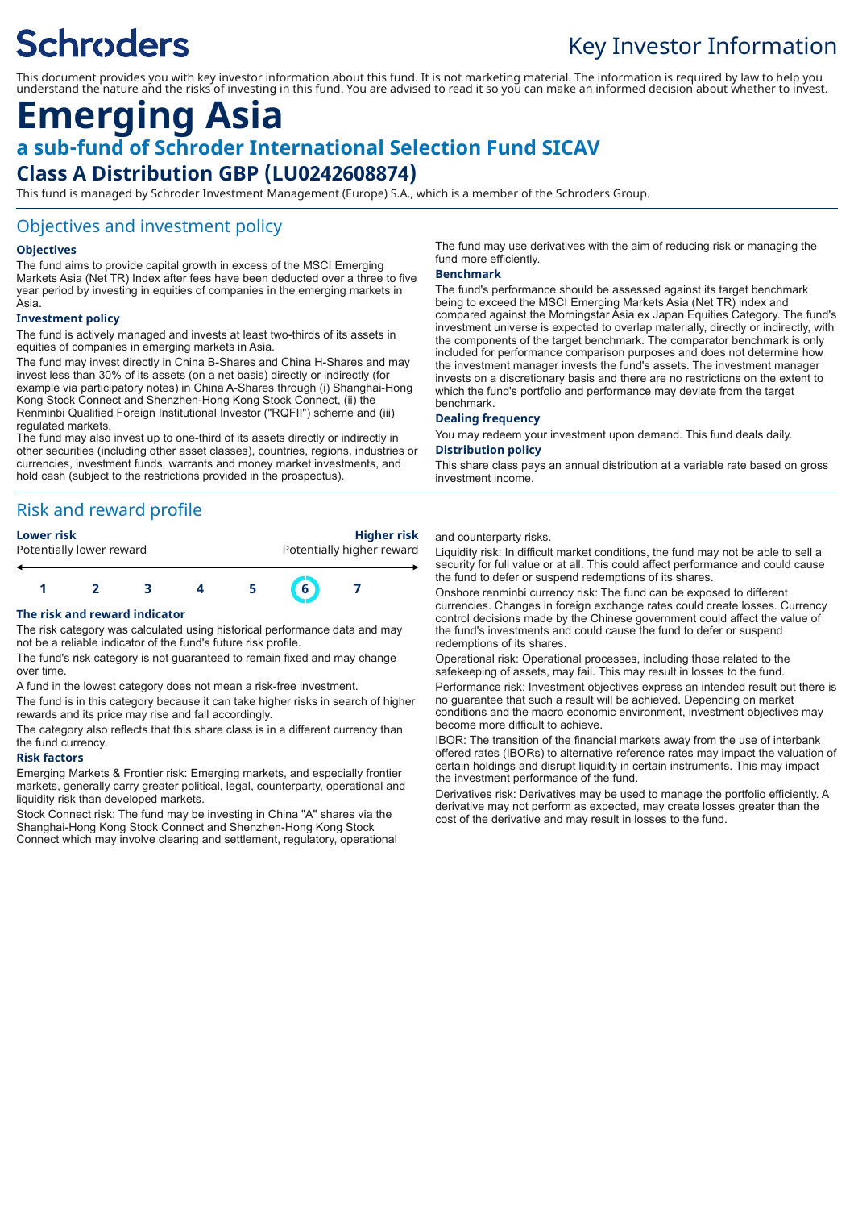# **Schroders**

## Key Investor Information

This document provides you with key investor information about this fund. It is not marketing material. The information is required by law to help you understand the nature and the risks of investing in this fund. You are advised to read it so you can make an informed decision about whether to invest.

### **Emerging Asia a sub-fund of Schroder International Selection Fund SICAV Class A Distribution GBP (LU0242608874)**

This fund is managed by Schroder Investment Management (Europe) S.A., which is a member of the Schroders Group.

#### Objectives and investment policy

#### **Objectives**

The fund aims to provide capital growth in excess of the MSCI Emerging Markets Asia (Net TR) Index after fees have been deducted over a three to five year period by investing in equities of companies in the emerging markets in Asia.

#### **Investment policy**

The fund is actively managed and invests at least two-thirds of its assets in equities of companies in emerging markets in Asia.

The fund may invest directly in China B-Shares and China H-Shares and may invest less than 30% of its assets (on a net basis) directly or indirectly (for example via participatory notes) in China A-Shares through (i) Shanghai-Hong Kong Stock Connect and Shenzhen-Hong Kong Stock Connect, (ii) the Renminbi Qualified Foreign Institutional Investor ("RQFII") scheme and (iii) regulated markets.

The fund may also invest up to one-third of its assets directly or indirectly in other securities (including other asset classes), countries, regions, industries or currencies, investment funds, warrants and money market investments, and hold cash (subject to the restrictions provided in the prospectus).

### Risk and reward profile

**Lower risk Higher risk** Potentially lower reward **Potentially higher reward** 



#### **The risk and reward indicator**

The risk category was calculated using historical performance data and may not be a reliable indicator of the fund's future risk profile.

The fund's risk category is not guaranteed to remain fixed and may change over time.

A fund in the lowest category does not mean a risk-free investment.

The fund is in this category because it can take higher risks in search of higher rewards and its price may rise and fall accordingly.

The category also reflects that this share class is in a different currency than the fund currency.

#### **Risk factors**

Emerging Markets & Frontier risk: Emerging markets, and especially frontier markets, generally carry greater political, legal, counterparty, operational and liquidity risk than developed markets.

Stock Connect risk: The fund may be investing in China "A" shares via the Shanghai-Hong Kong Stock Connect and Shenzhen-Hong Kong Stock Connect which may involve clearing and settlement, regulatory, operational

The fund may use derivatives with the aim of reducing risk or managing the fund more efficiently.

#### **Benchmark**

The fund's performance should be assessed against its target benchmark being to exceed the MSCI Emerging Markets Asia (Net TR) index and compared against the Morningstar Asia ex Japan Equities Category. The fund's investment universe is expected to overlap materially, directly or indirectly, with the components of the target benchmark. The comparator benchmark is only included for performance comparison purposes and does not determine how the investment manager invests the fund's assets. The investment manager invests on a discretionary basis and there are no restrictions on the extent to which the fund's portfolio and performance may deviate from the target benchmark.

#### **Dealing frequency**

You may redeem your investment upon demand. This fund deals daily.

#### **Distribution policy**

This share class pays an annual distribution at a variable rate based on gross investment income.

#### and counterparty risks.

Liquidity risk: In difficult market conditions, the fund may not be able to sell a security for full value or at all. This could affect performance and could cause the fund to defer or suspend redemptions of its shares.

Onshore renminbi currency risk: The fund can be exposed to different currencies. Changes in foreign exchange rates could create losses. Currency control decisions made by the Chinese government could affect the value of the fund's investments and could cause the fund to defer or suspend redemptions of its shares.

Operational risk: Operational processes, including those related to the safekeeping of assets, may fail. This may result in losses to the fund. Performance risk: Investment objectives express an intended result but there is no guarantee that such a result will be achieved. Depending on market conditions and the macro economic environment, investment objectives may become more difficult to achieve.

IBOR: The transition of the financial markets away from the use of interbank offered rates (IBORs) to alternative reference rates may impact the valuation of certain holdings and disrupt liquidity in certain instruments. This may impact the investment performance of the fund.

Derivatives risk: Derivatives may be used to manage the portfolio efficiently. A derivative may not perform as expected, may create losses greater than the cost of the derivative and may result in losses to the fund.